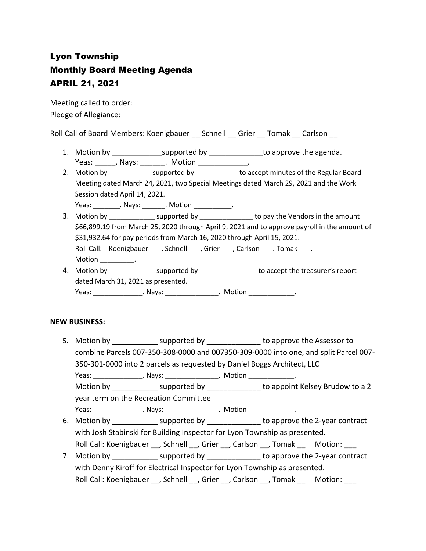# Lyon Township Monthly Board Meeting Agenda APRIL 21, 2021

Meeting called to order: Pledge of Allegiance:

Roll Call of Board Members: Koenigbauer \_\_ Schnell \_\_ Grier \_\_ Tomak \_\_ Carlson \_\_

- 1. Motion by \_\_\_\_\_\_\_\_\_\_\_\_\_\_\_\_supported by \_\_\_\_\_\_\_\_\_\_\_\_\_\_\_\_to approve the agenda. Yeas: Nays: Nays: Notion Neas: News, 2016
- 2. Motion by \_\_\_\_\_\_\_\_\_\_\_\_\_ supported by \_\_\_\_\_\_\_\_\_\_\_ to accept minutes of the Regular Board Meeting dated March 24, 2021, two Special Meetings dated March 29, 2021 and the Work Session dated April 14, 2021.

Yeas: The Mays: The Motion Contains a Motion and Motion and Motion and Motion and Motion and Motion and Motion

- 3. Motion by \_\_\_\_\_\_\_\_\_\_\_\_\_\_ supported by \_\_\_\_\_\_\_\_\_\_\_\_\_\_\_\_ to pay the Vendors in the amount \$66,899.19 from March 25, 2020 through April 9, 2021 and to approve payroll in the amount of \$31,932.64 for pay periods from March 16, 2020 through April 15, 2021. Roll Call: Koenigbauer \_\_\_, Schnell \_\_\_, Grier \_\_\_, Carlson \_\_\_. Tomak \_\_\_. Motion \_\_\_\_\_\_\_\_.
- 4. Motion by \_\_\_\_\_\_\_\_\_\_\_\_\_\_\_ supported by \_\_\_\_\_\_\_\_\_\_\_\_\_\_\_\_\_\_ to accept the treasurer's report dated March 31, 2021 as presented. Yeas: \_\_\_\_\_\_\_\_\_\_\_\_\_\_\_\_\_. Nays: \_\_\_\_\_\_\_\_\_\_\_\_\_\_\_\_\_\_. Motion \_\_\_\_\_\_\_\_\_\_\_\_\_\_\_.

#### **NEW BUSINESS:**

- 5. Motion by **Example 3** supported by **Example 2** to approve the Assessor to combine Parcels 007-350-308-0000 and 007350-309-0000 into one, and split Parcel 007- 350-301-0000 into 2 parcels as requested by Daniel Boggs Architect, LLC Yeas: The Mays: The Motion Characteristic Motion Characteristic Motion Characteristic Motion Characteristic Mo Motion by \_\_\_\_\_\_\_\_\_\_\_ supported by \_\_\_\_\_\_\_\_\_\_\_\_\_ to appoint Kelsey Brudow to a 2 year term on the Recreation Committee Yeas: \_\_\_\_\_\_\_\_\_\_\_\_\_\_\_\_\_. Nays: \_\_\_\_\_\_\_\_\_\_\_\_\_\_\_\_\_. Motion \_\_\_\_\_\_\_\_\_\_\_\_\_\_\_.
- 6. Motion by supported by example to approve the 2-year contract with Josh Stabinski for Building Inspector for Lyon Township as presented. Roll Call: Koenigbauer \_\_, Schnell \_\_, Grier \_\_, Carlson \_\_, Tomak \_\_ Motion: \_\_\_
- 7. Motion by **Example 2-year contract** by to approve the 2-year contract with Denny Kiroff for Electrical Inspector for Lyon Township as presented. Roll Call: Koenigbauer \_\_, Schnell \_\_, Grier \_\_, Carlson \_\_, Tomak \_\_ Motion: \_\_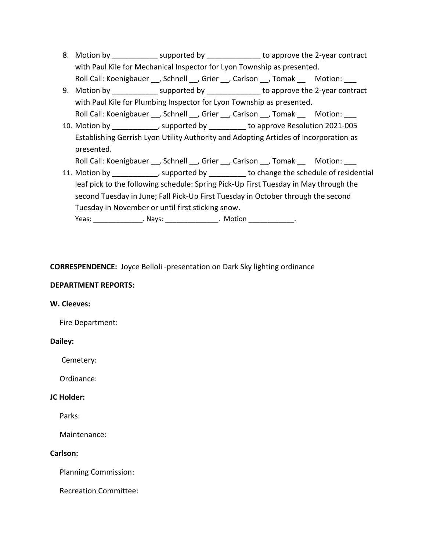- 8. Motion by example in the supported by the approve the 2-year contract with Paul Kile for Mechanical Inspector for Lyon Township as presented. Roll Call: Koenigbauer \_\_, Schnell \_\_, Grier \_\_, Carlson \_\_, Tomak \_\_ Motion: \_\_\_
- 9. Motion by \_\_\_\_\_\_\_\_\_\_\_\_\_ supported by \_\_\_\_\_\_\_\_\_\_\_\_\_\_\_ to approve the 2-year contract with Paul Kile for Plumbing Inspector for Lyon Township as presented. Roll Call: Koenigbauer \_\_, Schnell \_\_, Grier \_\_, Carlson \_\_, Tomak \_\_ Motion: \_\_\_
- 10. Motion by \_\_\_\_\_\_\_\_\_\_\_\_\_, supported by \_\_\_\_\_\_\_\_\_\_\_ to approve Resolution 2021-005 Establishing Gerrish Lyon Utility Authority and Adopting Articles of Incorporation as presented.

Roll Call: Koenigbauer , Schnell , Grier , Carlson , Tomak Motion:

11. Motion by \_\_\_\_\_\_\_\_\_\_\_\_\_, supported by detection to change the schedule of residential leaf pick to the following schedule: Spring Pick-Up First Tuesday in May through the second Tuesday in June; Fall Pick-Up First Tuesday in October through the second Tuesday in November or until first sticking snow.

Yeas: \_\_\_\_\_\_\_\_\_\_\_\_\_\_\_\_. Nays: \_\_\_\_\_\_\_\_\_\_\_\_\_\_\_\_. Motion \_\_\_\_\_\_\_\_\_\_\_\_\_\_.

## **CORRESPENDENCE:** Joyce Belloli -presentation on Dark Sky lighting ordinance

## **DEPARTMENT REPORTS:**

#### **W. Cleeves:**

Fire Department:

#### **Dailey:**

Cemetery:

Ordinance:

## **JC Holder:**

Parks:

Maintenance:

#### **Carlson:**

Planning Commission:

Recreation Committee: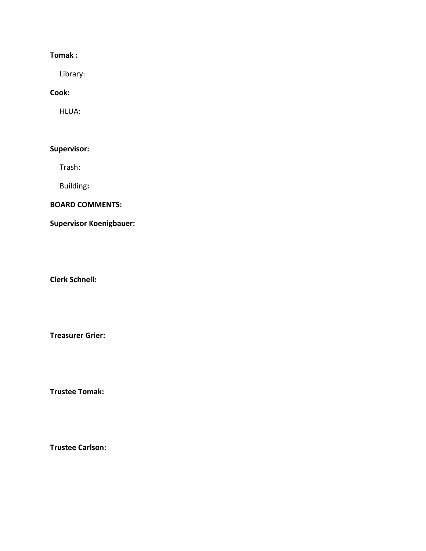# **Tomak :**

Library:

#### **Cook:**

HLUA:

## **Supervisor:**

Trash:

Building**:**

#### **BOARD COMMENTS:**

# **Supervisor Koenigbauer:**

**Clerk Schnell:** 

**Treasurer Grier:**

**Trustee Tomak:**

**Trustee Carlson:**